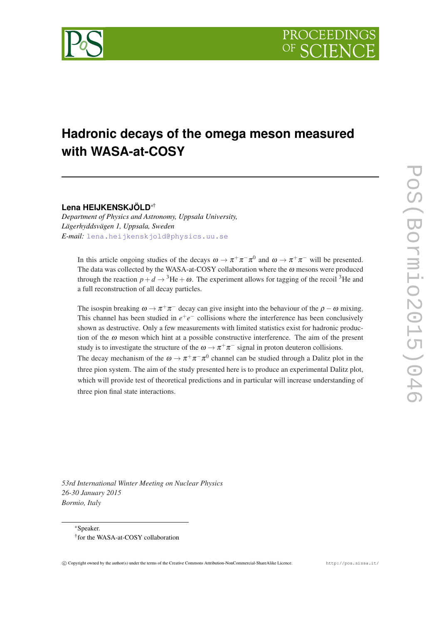

# **Hadronic decays of the omega meson measured with WASA-at-COSY**

**Lena HEIJKENSKJÖLD**∗†

*Department of Physics and Astronomy, Uppsala University, Lägerhyddsvägen 1, Uppsala, Sweden E-mail:* [lena.heijkenskjold@physics.uu.se](mailto:lena.heijkenskjold@physics.uu.se)

In this article ongoing studies of the decays  $\omega \to \pi^+\pi^-\pi^0$  and  $\omega \to \pi^+\pi^-$  will be presented. The data was collected by the WASA-at-COSY collaboration where the  $\omega$  mesons were produced through the reaction  $p+d \rightarrow {}^{3}\text{He}+\omega$ . The experiment allows for tagging of the recoil <sup>3</sup>He and a full reconstruction of all decay particles.

The isospin breaking  $\omega \to \pi^+ \pi^-$  decay can give insight into the behaviour of the  $\rho - \omega$  mixing. This channel has been studied in  $e^+e^-$  collisions where the interference has been conclusively shown as destructive. Only a few measurements with limited statistics exist for hadronic production of the  $\omega$  meson which hint at a possible constructive interference. The aim of the present study is to investigate the structure of the  $\omega \to \pi^+ \pi^-$  signal in proton deuteron collisions.

The decay mechanism of the  $\omega \to \pi^+ \pi^- \pi^0$  channel can be studied through a Dalitz plot in the three pion system. The aim of the study presented here is to produce an experimental Dalitz plot, which will provide test of theoretical predictions and in particular will increase understanding of three pion final state interactions.

*53rd International Winter Meeting on Nuclear Physics 26-30 January 2015 Bormio, Italy*

<sup>∗</sup>Speaker. † for the WASA-at-COSY collaboration

c Copyright owned by the author(s) under the terms of the Creative Commons Attribution-NonCommercial-ShareAlike Licence. http://pos.sissa.it/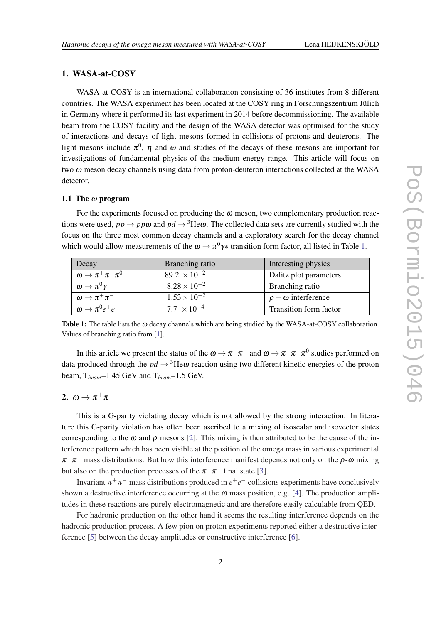#### <span id="page-1-0"></span>1. WASA-at-COSY

WASA-at-COSY is an international collaboration consisting of 36 institutes from 8 different countries. The WASA experiment has been located at the COSY ring in Forschungszentrum Jülich in Germany where it performed its last experiment in 2014 before decommissioning. The available beam from the COSY facility and the design of the WASA detector was optimised for the study of interactions and decays of light mesons formed in collisions of protons and deuterons. The light mesons include  $\pi^0$ ,  $\eta$  and  $\omega$  and studies of the decays of these mesons are important for investigations of fundamental physics of the medium energy range. This article will focus on two ω meson decay channels using data from proton-deuteron interactions collected at the WASA detector.

#### 1.1 The  $\omega$  program

For the experiments focused on producing the  $\omega$  meson, two complementary production reactions were used,  $pp \to pp\omega$  and  $pd \to {}^{3}\text{He}\omega$ . The collected data sets are currently studied with the focus on the three most common decay channels and a exploratory search for the decay channel which would allow measurements of the  $\omega \to \pi^0 \gamma*$  transition form factor, all listed in Table 1.

| Decay                                  | Branching ratio                | Interesting physics          |
|----------------------------------------|--------------------------------|------------------------------|
| $\omega \rightarrow \pi^+ \pi^- \pi^0$ | 89.2 $\times$ 10 <sup>-2</sup> | Dalitz plot parameters       |
| $\omega \rightarrow \pi^0 \gamma$      | $8.28 \times 10^{-2}$          | Branching ratio              |
| $\omega \rightarrow \pi^+ \pi^-$       | $1.53 \times 10^{-2}$          | $\rho - \omega$ interference |
| $\omega \rightarrow \pi^0 e^+ e^-$     | 7.7 $\times$ 10 <sup>-4</sup>  | Transition form factor       |

Table 1: The table lists the  $\omega$  decay channels which are being studied by the WASA-at-COSY collaboration. Values of branching ratio from [\[1](#page-4-0)].

In this article we present the status of the  $\omega\to\pi^+\pi^-$  and  $\omega\to\pi^+\pi^-\pi^0$  studies performed on data produced through the  $pd \rightarrow {}^{3}He\omega$  reaction using two different kinetic energies of the proton beam, T*beam*=1.45 GeV and T*beam*=1.5 GeV.

# 2.  $\omega \to \pi^+\pi^-$

This is a G-parity violating decay which is not allowed by the strong interaction. In literature this G-parity violation has often been ascribed to a mixing of isoscalar and isovector states corresponding to the  $\omega$  and  $\rho$  mesons [\[2\]](#page-4-0). This mixing is then attributed to be the cause of the interference pattern which has been visible at the position of the omega mass in various experimental  $\pi^+\pi^-$  mass distributions. But how this interference manifest depends not only on the  $\rho$ - $\omega$  mixing but also on the production processes of the  $\pi^+\pi^-$  final state [[3\]](#page-4-0).

Invariant  $\pi^+\pi^-$  mass distributions produced in  $e^+e^-$  collisions experiments have conclusively shown a destructive interference occurring at the  $\omega$  mass position, e.g. [\[4\]](#page-4-0). The production amplitudes in these reactions are purely electromagnetic and are therefore easily calculable from QED.

For hadronic production on the other hand it seems the resulting interference depends on the hadronic production process. A few pion on proton experiments reported either a destructive interference [[5](#page-4-0)] between the decay amplitudes or constructive interference [\[6\]](#page-5-0).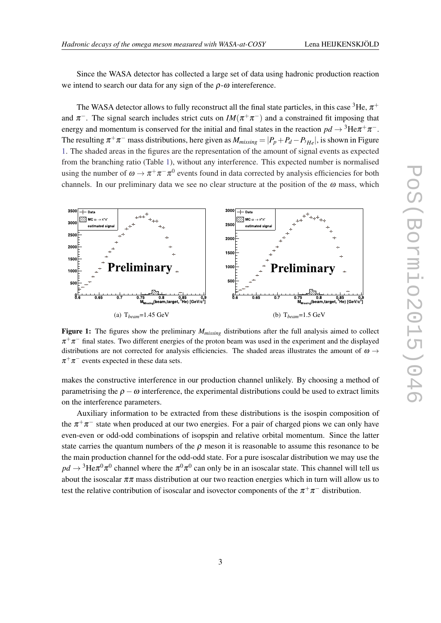Since the WASA detector has collected a large set of data using hadronic production reaction we intend to search our data for any sign of the  $\rho$ - $\omega$  intereference.

The WASA detector allows to fully reconstruct all the final state particles, in this case  $^3{\rm He},\,\pi^+$ and  $\pi^-$ . The signal search includes strict cuts on  $IM(\pi^+\pi^-)$  and a constrained fit imposing that energy and momentum is conserved for the initial and final states in the reaction  $pd \rightarrow {^3\text{He}}\pi^+\pi^-$ . The resulting  $\pi^+\pi^-$  mass distributions, here given as  $M_{missing} = |P_p + P_d - P_{^3He}|$ , is shown in Figure 1. The shaded areas in the figures are the representation of the amount of signal events as expected from the branching ratio (Table [1\)](#page-1-0), without any interference. This expected number is normalised using the number of  $\omega \to \pi^+ \pi^- \pi^0$  events found in data corrected by analysis efficiencies for both channels. In our preliminary data we see no clear structure at the position of the  $\omega$  mass, which



Figure 1: The figures show the preliminary *Mmissing* distributions after the full analysis aimed to collect  $\pi^+\pi^-$  final states. Two different energies of the proton beam was used in the experiment and the displayed distributions are not corrected for analysis efficiencies. The shaded areas illustrates the amount of  $\omega \rightarrow$  $\pi^+\pi^-$  events expected in these data sets.

makes the constructive interference in our production channel unlikely. By choosing a method of parametrising the  $\rho - \omega$  interference, the experimental distributions could be used to extract limits on the interference parameters.

Auxiliary information to be extracted from these distributions is the isospin composition of the  $\pi^+\pi^-$  state when produced at our two energies. For a pair of charged pions we can only have even-even or odd-odd combinations of isopspin and relative orbital momentum. Since the latter state carries the quantum numbers of the  $\rho$  meson it is reasonable to assume this resonance to be the main production channel for the odd-odd state. For a pure isoscalar distribution we may use the  $pd\to{}^{3}\text{He}\pi^{0}\pi^{0}$  channel where the  $\pi^{0}\pi^{0}$  can only be in an isoscalar state. This channel will tell us about the isoscalar  $\pi\pi$  mass distribution at our two reaction energies which in turn will allow us to test the relative contribution of isoscalar and isovector components of the  $\pi^+\pi^-$  distribution.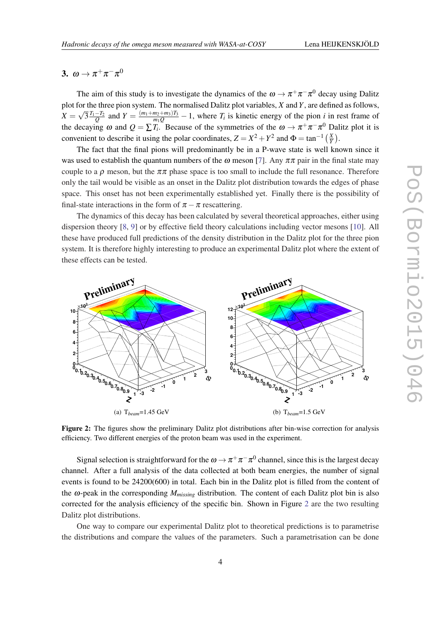# 3.  $\omega \to \pi^+\pi^-\pi^0$

The aim of this study is to investigate the dynamics of the  $\omega \to \pi^+ \pi^- \pi^0$  decay using Dalitz plot for the three pion system. The normalised Dalitz plot variables, *X* and *Y*, are defined as follows,  $X =$ √  $\sqrt{3} \frac{T_1 - T_2}{Q}$  and  $Y = \frac{(m_1 + m_2 + m_3)T_3}{m_1 Q} - 1$ , where  $T_i$  is kinetic energy of the pion *i* in rest frame of the decaying  $\omega$  and  $Q = \sum T_i$ . Because of the symmetries of the  $\omega \to \pi^+ \pi^- \pi^0$  Dalitz plot it is convenient to describe it using the polar coordinates,  $Z = X^2 + Y^2$  and  $\Phi = \tan^{-1} \left( \frac{X}{Y} \right)$  $\frac{X}{Y}$ .

The fact that the final pions will predominantly be in a P-wave state is well known since it was used to establish the quantum numbers of the  $\omega$  meson [[7\]](#page-5-0). Any  $\pi\pi$  pair in the final state may couple to a  $\rho$  meson, but the  $\pi\pi$  phase space is too small to include the full resonance. Therefore only the tail would be visible as an onset in the Dalitz plot distribution towards the edges of phase space. This onset has not been experimentally established yet. Finally there is the possibility of final-state interactions in the form of  $\pi - \pi$  rescattering.

The dynamics of this decay has been calculated by several theoretical approaches, either using dispersion theory [[8](#page-5-0), [9](#page-5-0)] or by effective field theory calculations including vector mesons [[10\]](#page-5-0). All these have produced full predictions of the density distribution in the Dalitz plot for the three pion system. It is therefore highly interesting to produce an experimental Dalitz plot where the extent of these effects can be tested.



Figure 2: The figures show the preliminary Dalitz plot distributions after bin-wise correction for analysis efficiency. Two different energies of the proton beam was used in the experiment.

Signal selection is straightforward for the  $\omega \to \pi^+ \pi^- \pi^0$  channel, since this is the largest decay channel. After a full analysis of the data collected at both beam energies, the number of signal events is found to be 24200(600) in total. Each bin in the Dalitz plot is filled from the content of the  $\omega$ -peak in the corresponding  $M_{missing}$  distribution. The content of each Dalitz plot bin is also corrected for the analysis efficiency of the specific bin. Shown in Figure 2 are the two resulting Dalitz plot distributions.

One way to compare our experimental Dalitz plot to theoretical predictions is to parametrise the distributions and compare the values of the parameters. Such a parametrisation can be done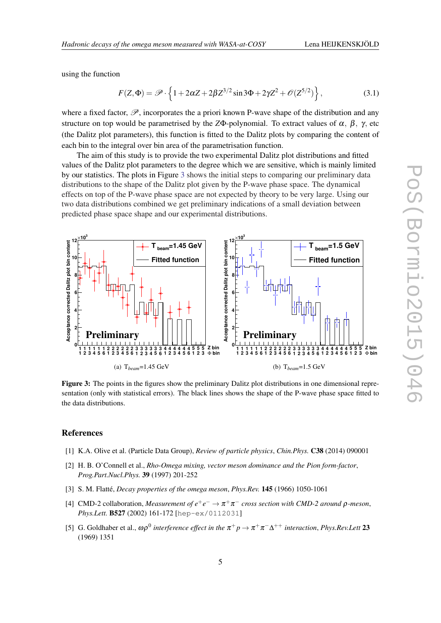<span id="page-4-0"></span>using the function

$$
F(Z,\Phi) = \mathscr{P} \cdot \left\{ 1 + 2\alpha Z + 2\beta Z^{3/2} \sin 3\Phi + 2\gamma Z^2 + \mathscr{O}(Z^{5/2}) \right\},\tag{3.1}
$$

where a fixed factor,  $\mathscr{P}$ , incorporates the a priori known P-wave shape of the distribution and any structure on top would be parametrised by the *Z*Φ-polynomial. To extract values of  $\alpha$ ,  $\beta$ ,  $\gamma$ , etc (the Dalitz plot parameters), this function is fitted to the Dalitz plots by comparing the content of each bin to the integral over bin area of the parametrisation function.

The aim of this study is to provide the two experimental Dalitz plot distributions and fitted values of the Dalitz plot parameters to the degree which we are sensitive, which is mainly limited by our statistics. The plots in Figure 3 shows the initial steps to comparing our preliminary data distributions to the shape of the Dalitz plot given by the P-wave phase space. The dynamical effects on top of the P-wave phase space are not expected by theory to be very large. Using our two data distributions combined we get preliminary indications of a small deviation between predicted phase space shape and our experimental distributions.

> **12**  $\times$ **10<sup>3</sup>**



Figure 3: The points in the figures show the preliminary Dalitz plot distributions in one dimensional representation (only with statistical errors). The black lines shows the shape of the P-wave phase space fitted to the data distributions.

### References

**12**  $\times$ **10<sup>3</sup>**  $\overline{\phantom{a}}$ 

- [1] K.A. Olive et al. (Particle Data Group), *Review of particle physics*, *Chin.Phys.* C38 (2014) 090001
- [2] H. B. O'Connell et al., *Rho-Omega mixing, vector meson dominance and the Pion form-factor*, *Prog.Part.Nucl.Phys.* 39 (1997) 201-252
- [3] S. M. Flatté, *Decay properties of the omega meson*, *Phys.Rev.* 145 (1966) 1050-1061
- [4] CMD-2 collaboration, *Measurement of*  $e^+e^- \to \pi^+\pi^-$  *cross section with CMD-2 around*  $\rho$ *-meson*, *Phys.Lett.* B527 (2002) 161-172 [hep-ex/0112031]
- [5] G. Goldhaber et al.,  $\omega \rho^0$  *interference effect in the*  $\pi^+ p \to \pi^+ \pi^- \Delta^{++}$  *interaction, Phys.Rev.Lett* 23 (1969) 1351